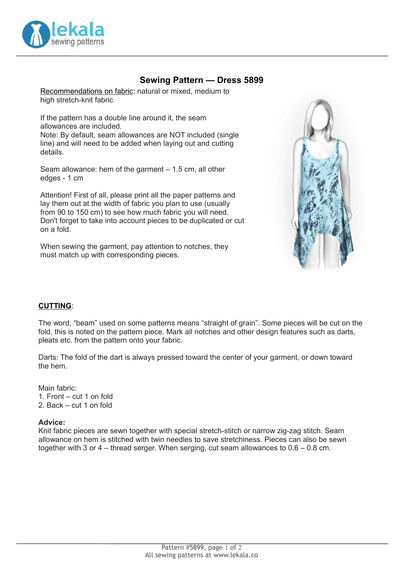

# **Sewing Pattern — Dress 5899**

Recommendations on fabric: natural or mixed, medium to high stretch-knit fabric

If the pattern has a double line around it, the seam allowances are included.

Note: By default, seam allowances are NOT included (single line) and will need to be added when laying out and cutting details.

Seam allowance: hem of the garment – 1.5 cm, all other edges - 1 cm

Attention! First of all, please print all the paper patterns and lay them out at the width of fabric you plan to use (usually from 90 to 150 cm) to see how much fabric you will need. Don't forget to take into account pieces to be duplicated or cut on a fold.

When sewing the garment, pay attention to notches, they must match up with corresponding pieces.



## **CUTTING**:

The word, "beam" used on some patterns means "straight of grain". Some pieces will be cut on the fold, this is noted on the pattern piece. Mark all notches and other design features such as darts, pleats etc. from the pattern onto your fabric.

Darts: The fold of the dart is always pressed toward the center of your garment, or down toward the hem.

Main fabric: 1. Front – cut 1 on fold 2. Back – cut 1 on fold

#### **Advice:**

Knit fabric pieces are sewn together with special stretch-stitch or narrow zig-zag stitch. Seam allowance on hem is stitched with twin needles to save stretchiness. Pieces can also be sewn together with 3 or 4 – thread serger. When serging, cut seam allowances to 0.6 – 0.8 cm.